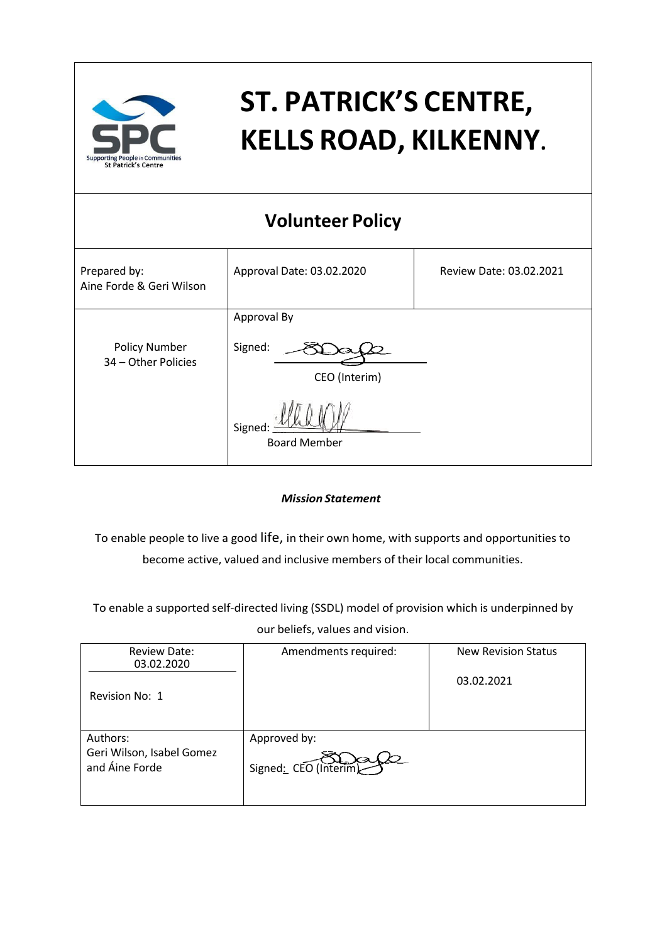

# **ST. PATRICK'S CENTRE, KELLS ROAD, KILKENNY**.

## **Volunteer Policy**

| Prepared by:<br>Aine Forde & Geri Wilson    | Approval Date: 03.02.2020               | Review Date: 03.02.2021 |
|---------------------------------------------|-----------------------------------------|-------------------------|
| <b>Policy Number</b><br>34 - Other Policies | Approval By<br>Signed:<br>CEO (Interim) |                         |
|                                             | Signed:<br><b>Board Member</b>          |                         |

#### *Mission Statement*

To enable people to live a good life, in their own home, with supports and opportunities to become active, valued and inclusive members of their local communities.

To enable a supported self-directed living (SSDL) model of provision which is underpinned by our beliefs, values and vision.

| <b>Review Date:</b><br>03.02.2020<br>Revision No: 1     | Amendments required:                  | <b>New Revision Status</b><br>03.02.2021 |
|---------------------------------------------------------|---------------------------------------|------------------------------------------|
| Authors:<br>Geri Wilson, Isabel Gomez<br>and Aine Forde | Approved by:<br>Signed: CEO (Interim) |                                          |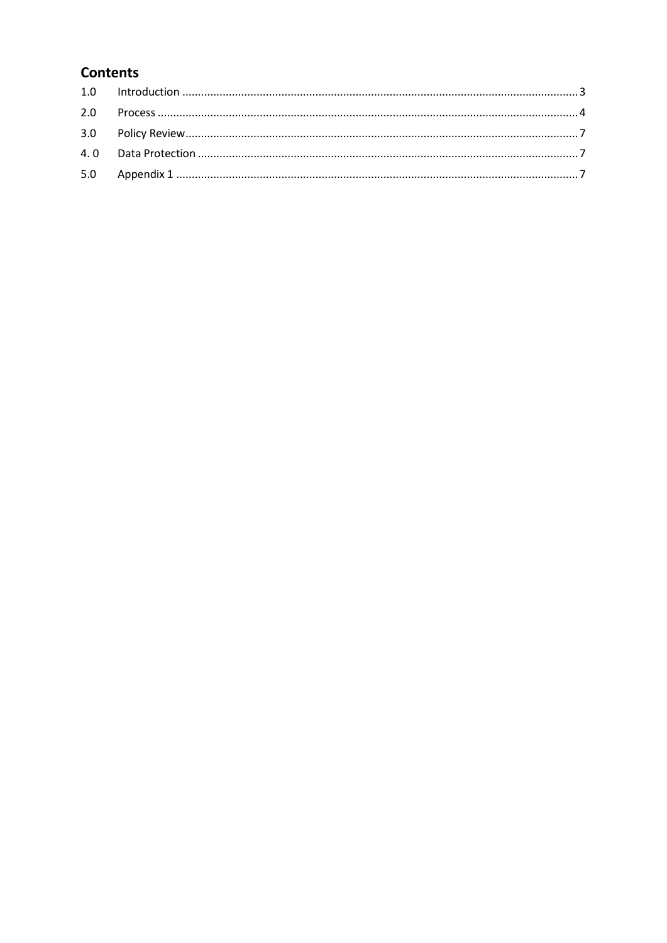## **Contents**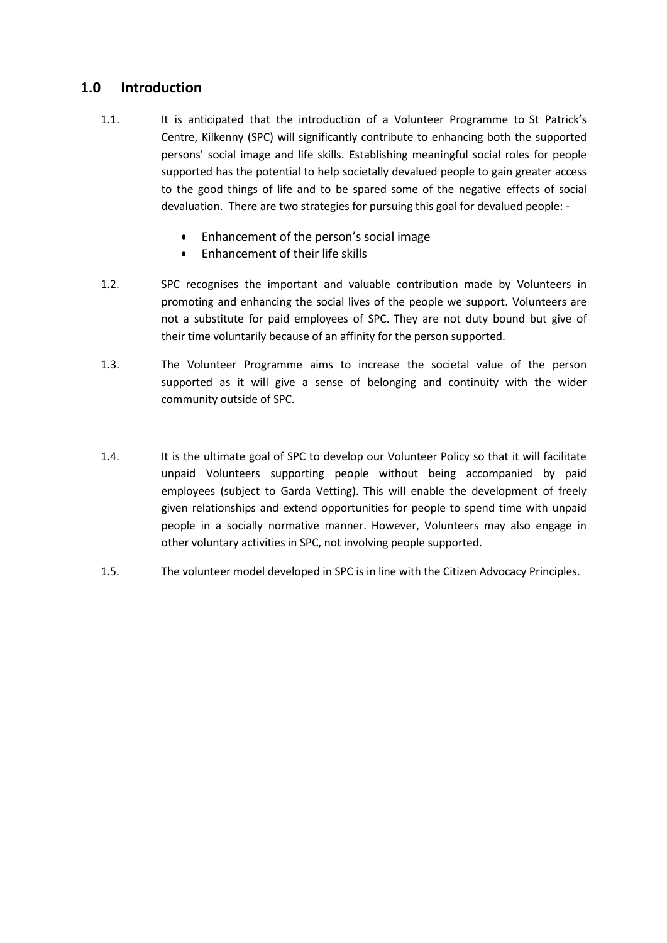### <span id="page-2-0"></span>**1.0 Introduction**

- 1.1. It is anticipated that the introduction of a Volunteer Programme to St Patrick's Centre, Kilkenny (SPC) will significantly contribute to enhancing both the supported persons' social image and life skills. Establishing meaningful social roles for people supported has the potential to help societally devalued people to gain greater access to the good things of life and to be spared some of the negative effects of social devaluation. There are two strategies for pursuing this goal for devalued people: -
	- Enhancement of the person's social image
	- Enhancement of their life skills
- 1.2. SPC recognises the important and valuable contribution made by Volunteers in promoting and enhancing the social lives of the people we support. Volunteers are not a substitute for paid employees of SPC. They are not duty bound but give of their time voluntarily because of an affinity for the person supported.
- 1.3. The Volunteer Programme aims to increase the societal value of the person supported as it will give a sense of belonging and continuity with the wider community outside of SPC.
- 1.4. It is the ultimate goal of SPC to develop our Volunteer Policy so that it will facilitate unpaid Volunteers supporting people without being accompanied by paid employees (subject to Garda Vetting). This will enable the development of freely given relationships and extend opportunities for people to spend time with unpaid people in a socially normative manner. However, Volunteers may also engage in other voluntary activities in SPC, not involving people supported.
- 1.5. The volunteer model developed in SPC is in line with the Citizen Advocacy Principles.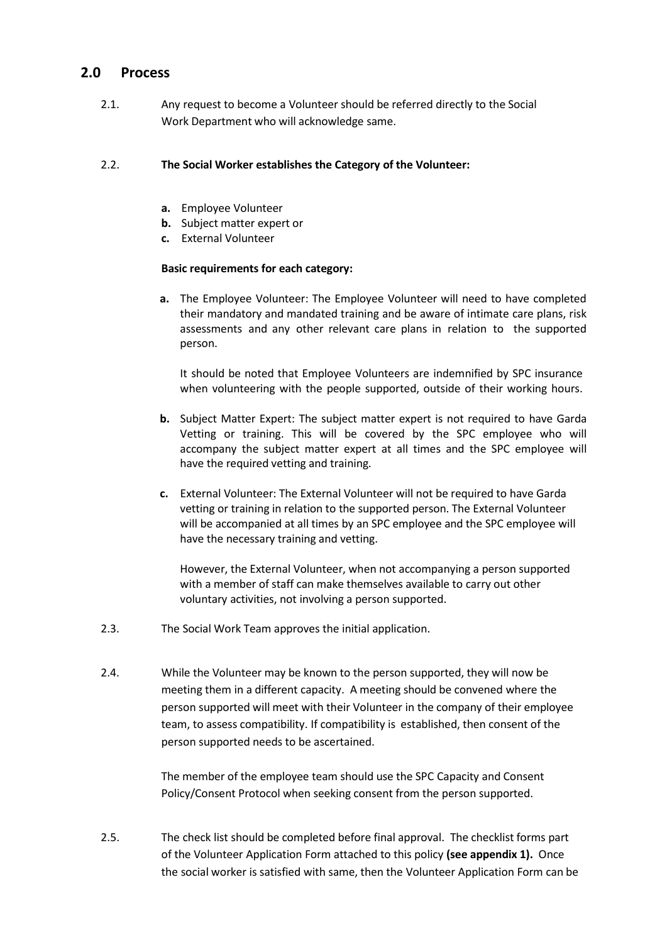#### <span id="page-3-0"></span>**2.0 Process**

2.1. Any request to become a Volunteer should be referred directly to the Social Work Department who will acknowledge same.

#### 2.2. **The Social Worker establishes the Category of the Volunteer:**

- **a.** Employee Volunteer
- **b.** Subject matter expert or
- **c.** External Volunteer

#### **Basic requirements for each category:**

**a.** The Employee Volunteer: The Employee Volunteer will need to have completed their mandatory and mandated training and be aware of intimate care plans, risk assessments and any other relevant care plans in relation to the supported person.

It should be noted that Employee Volunteers are indemnified by SPC insurance when volunteering with the people supported, outside of their working hours.

- **b.** Subject Matter Expert: The subject matter expert is not required to have Garda Vetting or training. This will be covered by the SPC employee who will accompany the subject matter expert at all times and the SPC employee will have the required vetting and training.
- **c.** External Volunteer: The External Volunteer will not be required to have Garda vetting or training in relation to the supported person. The External Volunteer will be accompanied at all times by an SPC employee and the SPC employee will have the necessary training and vetting.

However, the External Volunteer, when not accompanying a person supported with a member of staff can make themselves available to carry out other voluntary activities, not involving a person supported.

- 2.3. The Social Work Team approves the initial application.
- 2.4. While the Volunteer may be known to the person supported, they will now be meeting them in a different capacity. A meeting should be convened where the person supported will meet with their Volunteer in the company of their employee team, to assess compatibility. If compatibility is established, then consent of the person supported needs to be ascertained.

The member of the employee team should use the SPC Capacity and Consent Policy/Consent Protocol when seeking consent from the person supported.

2.5. The check list should be completed before final approval. The checklist forms part of the Volunteer Application Form attached to this policy **(see appendix 1).** Once the social worker is satisfied with same, then the Volunteer Application Form can be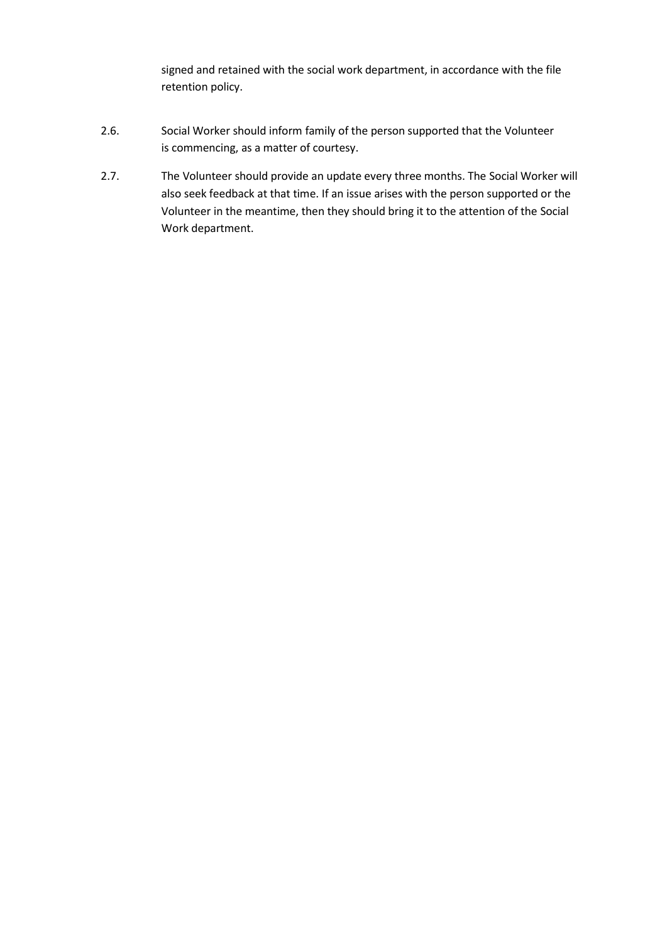signed and retained with the social work department, in accordance with the file retention policy.

- 2.6. Social Worker should inform family of the person supported that the Volunteer is commencing, as a matter of courtesy.
- 2.7. The Volunteer should provide an update every three months. The Social Worker will also seek feedback at that time. If an issue arises with the person supported or the Volunteer in the meantime, then they should bring it to the attention of the Social Work department.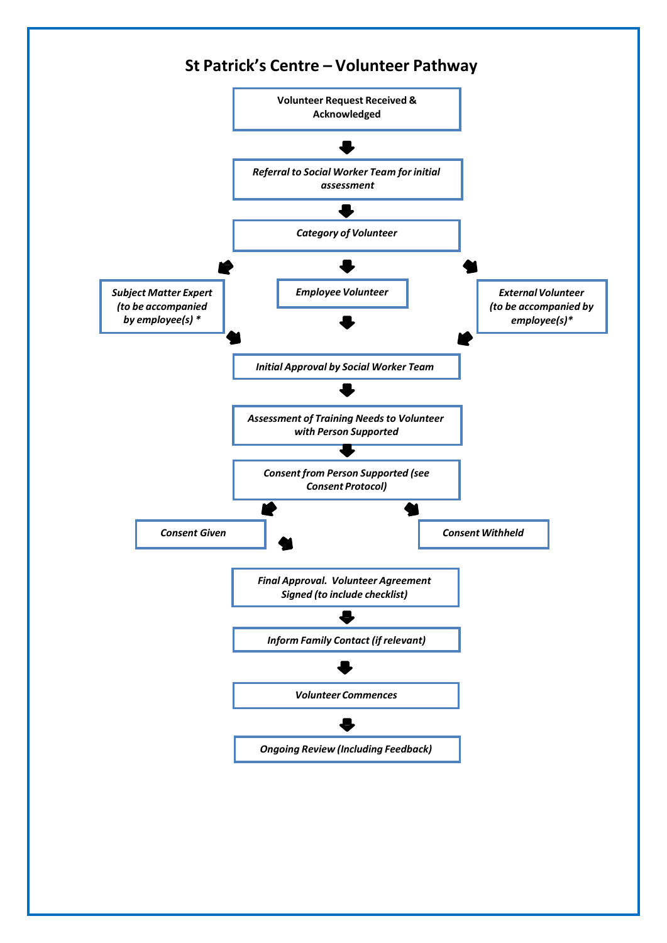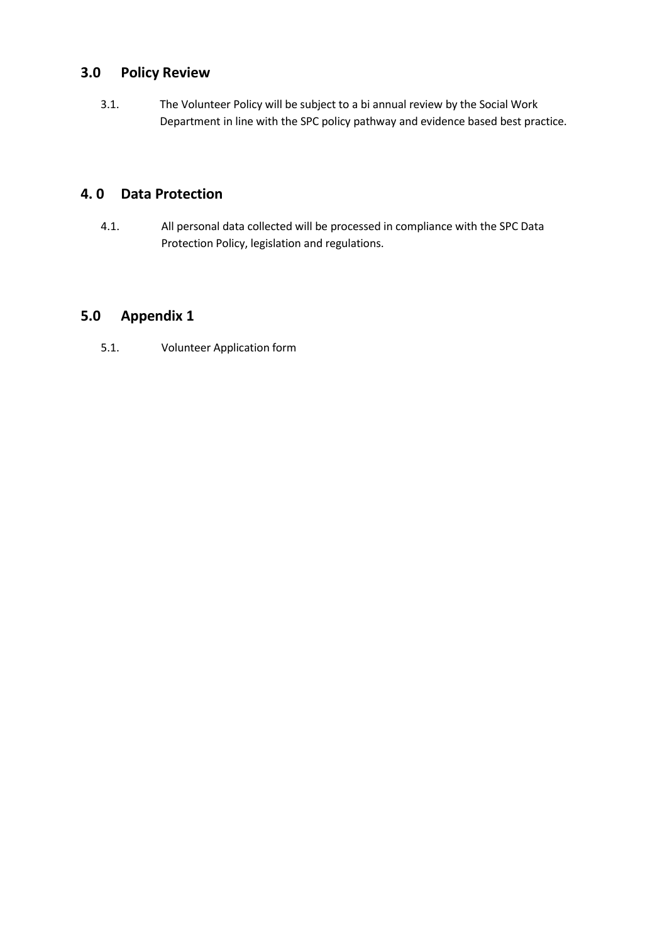## <span id="page-6-0"></span>**3.0 Policy Review**

3.1. The Volunteer Policy will be subject to a bi annual review by the Social Work Department in line with the SPC policy pathway and evidence based best practice.

### <span id="page-6-1"></span>**4. 0 Data Protection**

4.1. All personal data collected will be processed in compliance with the SPC Data Protection Policy, legislation and regulations.

## <span id="page-6-2"></span>**5.0 Appendix 1**

5.1. Volunteer Application form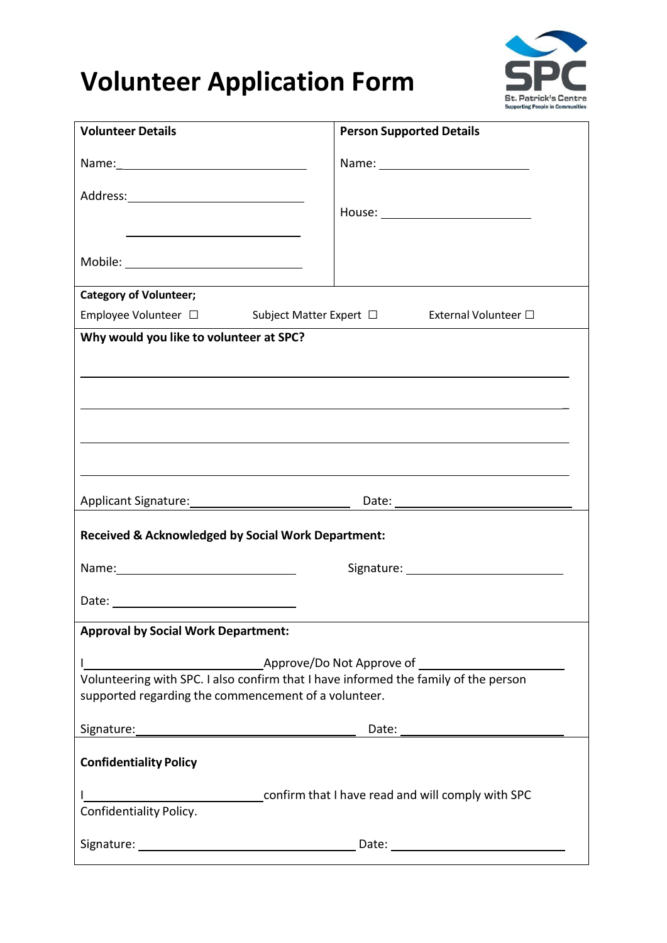## **Volunteer Application Form**



| <b>Volunteer Details</b>                                                            | <b>Person Supported Details</b> |
|-------------------------------------------------------------------------------------|---------------------------------|
|                                                                                     |                                 |
|                                                                                     |                                 |
|                                                                                     |                                 |
|                                                                                     |                                 |
| Mobile: ______________________________                                              |                                 |
| <b>Category of Volunteer;</b>                                                       |                                 |
| Employee Volunteer □ Subject Matter Expert □ External Volunteer □                   |                                 |
| Why would you like to volunteer at SPC?                                             |                                 |
|                                                                                     |                                 |
|                                                                                     |                                 |
|                                                                                     |                                 |
|                                                                                     |                                 |
|                                                                                     |                                 |
|                                                                                     |                                 |
|                                                                                     |                                 |
| <b>Received &amp; Acknowledged by Social Work Department:</b>                       |                                 |
|                                                                                     |                                 |
|                                                                                     |                                 |
| <b>Approval by Social Work Department:</b>                                          |                                 |
|                                                                                     |                                 |
| Volunteering with SPC. I also confirm that I have informed the family of the person |                                 |
| supported regarding the commencement of a volunteer.                                |                                 |
|                                                                                     |                                 |
| <b>Confidentiality Policy</b>                                                       |                                 |
|                                                                                     |                                 |
|                                                                                     |                                 |
|                                                                                     |                                 |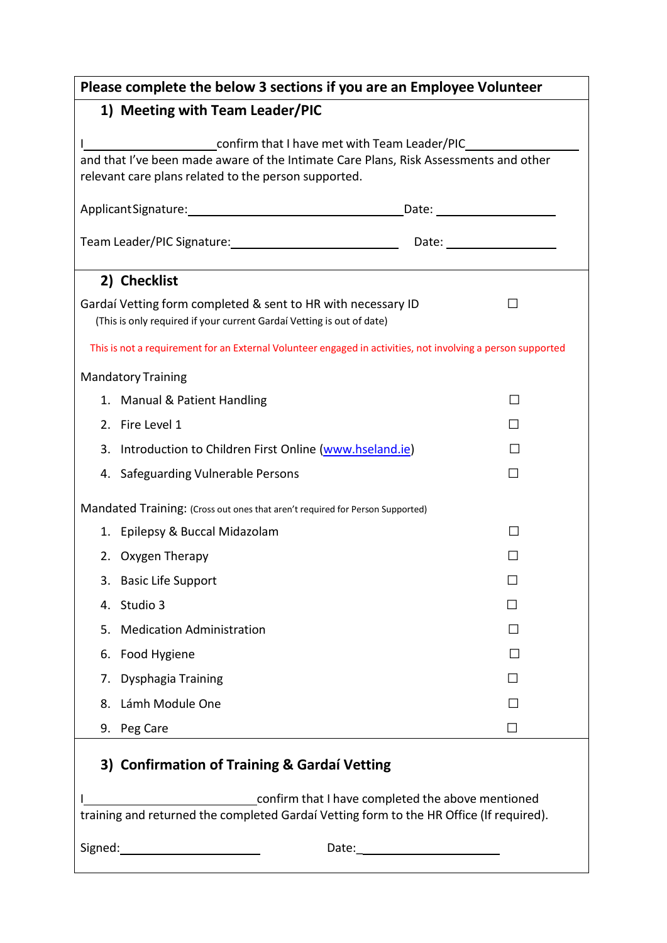| Please complete the below 3 sections if you are an Employee Volunteer                                                                                                                          |  |  |  |
|------------------------------------------------------------------------------------------------------------------------------------------------------------------------------------------------|--|--|--|
| 1) Meeting with Team Leader/PIC                                                                                                                                                                |  |  |  |
| _confirm that I have met with Team Leader/PIC_<br>and that I've been made aware of the Intimate Care Plans, Risk Assessments and other<br>relevant care plans related to the person supported. |  |  |  |
|                                                                                                                                                                                                |  |  |  |
|                                                                                                                                                                                                |  |  |  |
| 2) Checklist                                                                                                                                                                                   |  |  |  |
| Gardaí Vetting form completed & sent to HR with necessary ID<br>(This is only required if your current Gardaí Vetting is out of date)                                                          |  |  |  |
| This is not a requirement for an External Volunteer engaged in activities, not involving a person supported                                                                                    |  |  |  |
| <b>Mandatory Training</b>                                                                                                                                                                      |  |  |  |
| 1. Manual & Patient Handling                                                                                                                                                                   |  |  |  |
| 2. Fire Level 1                                                                                                                                                                                |  |  |  |
| Introduction to Children First Online (www.hseland.ie)<br>3.                                                                                                                                   |  |  |  |
| 4. Safeguarding Vulnerable Persons                                                                                                                                                             |  |  |  |
| Mandated Training: (Cross out ones that aren't required for Person Supported)                                                                                                                  |  |  |  |
| 1. Epilepsy & Buccal Midazolam                                                                                                                                                                 |  |  |  |
| 2. Oxygen Therapy                                                                                                                                                                              |  |  |  |
| 3. Basic Life Support                                                                                                                                                                          |  |  |  |
| 4. Studio 3                                                                                                                                                                                    |  |  |  |
| <b>Medication Administration</b><br>5.                                                                                                                                                         |  |  |  |
| Food Hygiene<br>6.                                                                                                                                                                             |  |  |  |
| Dysphagia Training<br>7.                                                                                                                                                                       |  |  |  |
| Lámh Module One<br>8.                                                                                                                                                                          |  |  |  |
| 9. Peg Care                                                                                                                                                                                    |  |  |  |
| 3) Confirmation of Training & Gardaí Vetting                                                                                                                                                   |  |  |  |
| confirm that I have completed the above mentioned<br>training and returned the completed Gardaí Vetting form to the HR Office (If required).                                                   |  |  |  |
| <u> 1990 - Johann Barbara, martin a</u><br>Signed:<br>Date:                                                                                                                                    |  |  |  |